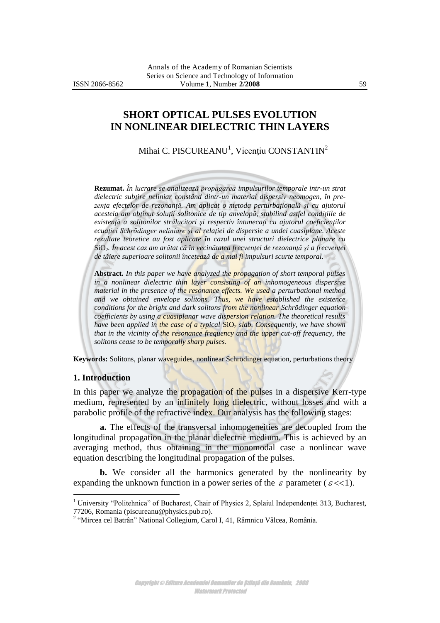### **SHORT OPTICAL PULSES EVOLUTION IN NONLINEAR DIELECTRIC THIN LAYERS**

Mihai C. PISCUREANU<sup>1</sup>, Vicențiu CONSTANTIN<sup>2</sup>

**Rezumat.** *În lucrare se analizează propagarea impulsurilor temporale intr-un strat dielectric subţire neliniar constând dintr-un material dispersiv neomogen, în prezenţa efectelor de rezonanţă. Am aplicat o metoda perturbaţională şi cu ajutorul acesteia am obţinut soluţii solitonice de tip anvelopă, stabilind astfel condiţiile de existenţă a solitonilor strălucitori şi respectiv întunecaţi cu ajutorul coeficienţilor ecuaţiei Schrödinger neliniare şi al relaţiei de dispersie a undei cuasiplane. Aceste rezultate teoretice au fost aplicate în cazul unei structuri dielectrice planare cu*  SiO2*. În acest caz am arătat că în vecinătatea frecvenţei de rezonanţă şi a frecvenţei de tăiere superioare solitonii încetează de a mai fi impulsuri scurte temporal.*

**Abstract.** *In this paper we have analyzed the propagation of short temporal pulses in a nonlinear dielectric thin layer consisting of an inhomogeneous dispersive material in the presence of the resonance effects. We used a perturbational method and we obtained envelope solitons. Thus, we have established the existence conditions for the bright and dark solitons from the nonlinear Schrödinger equation coefficients by using a cuasiplanar wave dispersion relation. The theoretical results have been applied in the case of a typical* SiO<sub>2</sub> *slab. Consequently, we have shown that in the vicinity of the resonance frequency and the upper cut-off frequency, the solitons cease to be temporally sharp pulses.*

**Keywords:** Solitons, planar waveguides, nonlinear Schrödinger equation, perturbations theory

#### **1. Introduction**

 $\overline{a}$ 

In this paper we analyze the propagation of the pulses in a dispersive Kerr-type medium, represented by an infinitely long dielectric, without losses and with a parabolic profile of the refractive index. Our analysis has the following stages:

**a.** The effects of the transversal inhomogeneities are decoupled from the longitudinal propagation in the planar dielectric medium. This is achieved by an averaging method, thus obtaining in the monomodal case a nonlinear wave equation describing the longitudinal propagation of the pulses.

**b.** We consider all the harmonics generated by the nonlinearity by expanding the unknown function in a power series of the  $\varepsilon$  parameter ( $\varepsilon$  <<1).

<sup>&</sup>lt;sup>1</sup> University "Politehnica" of Bucharest, Chair of Physics 2, Splaiul Independenței 313, Bucharest, 77206, Romania (piscureanu@physics.pub.ro). 2 "Mircea cel Batrân" National Collegium, Carol I, 41, Râmnicu Vâlcea, România.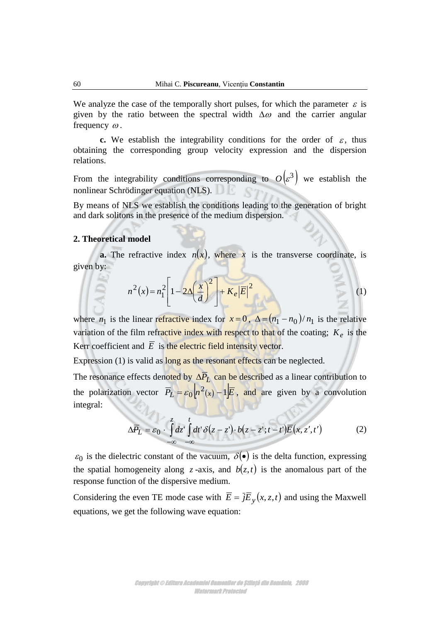We analyze the case of the temporally short pulses, for which the parameter  $\varepsilon$  is given by the ratio between the spectral width  $\Delta\omega$  and the carrier angular frequency  $\omega$ .

**c.** We establish the integrability conditions for the order of  $\varepsilon$ , thus obtaining the corresponding group velocity expression and the dispersion relations.

From the integrability conditions corresponding to  $O(\varepsilon^3)$  we establish the nonlinear Schrödinger equation (NLS).

By means of NLS we establish the conditions leading to the generation of bright and dark solitons in the presence of the medium dispersion.

### **2. Theoretical model**

**a.** The refractive index  $n(x)$ , where x is the transverse coordinate, is given by:

$$
n^{2}(x) = n_{1}^{2} \left[ 1 - 2\Delta \left( \frac{x}{d} \right)^{2} \right] + K_{e} \left| \overline{E} \right|^{2}
$$
 (1)

where  $n_1$  is the linear refractive index for  $x=0$ ,  $\Delta = (n_1 - n_0)/n_1$  is the relative variation of the film refractive index with respect to that of the coating;  $K_e$  is the Kerr coefficient and E is the electric field intensity vector.

Expression (1) is valid as long as the resonant effects can be neglected.

The resonance effects denoted by  $\Delta P_L$  can be described as a linear contribution to the polarization vector  $\overline{P}_L = \varepsilon_0 \sqrt{n^2(x) - 1} \overline{E}$ , and are given by a convolution integral:

$$
\Delta \overline{P}_L = \varepsilon_0 \cdot \int_{-\infty}^{z} dz' \int_{-\infty}^{t} dt' \delta(z - z') \cdot b(z - z'; t - t') \overline{E}(x, z'; t')
$$
(2)

 $\varepsilon_0$  is the dielectric constant of the vacuum,  $\delta(\bullet)$  is the delta function, expressing the spatial homogeneity along  $z$ -axis, and  $b(z,t)$  is the anomalous part of the response function of the dispersive medium.

Considering the even TE mode case with  $\overline{E} = \overline{j}E_y(x, z, t)$  and using the Maxwell equations, we get the following wave equation: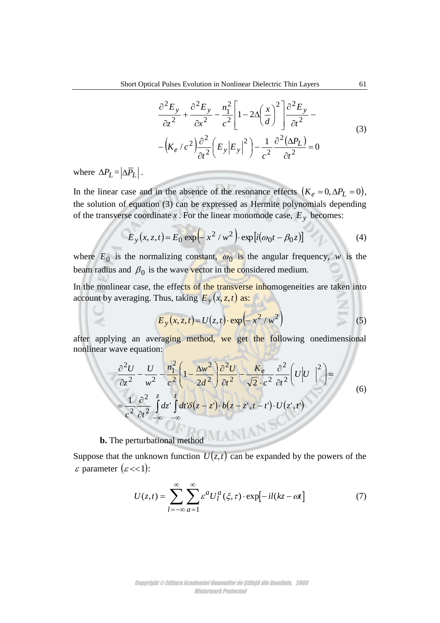$$
\frac{\partial^2 E_y}{\partial z^2} + \frac{\partial^2 E_y}{\partial x^2} - \frac{n_1^2}{c^2} \left[ 1 - 2\Delta \left( \frac{x}{d} \right)^2 \right] \frac{\partial^2 E_y}{\partial t^2} -
$$
\n
$$
- \left( K_e / c^2 \right) \frac{\partial^2}{\partial t^2} \left( E_y |E_y|^2 \right) - \frac{1}{c^2} \frac{\partial^2 (\Delta P_L)}{\partial t^2} = 0
$$
\n(3)

where  $\Delta P_L = |\Delta P_L|$ .

In the linear case and in the absence of the resonance effects  $(K_e = 0, \Delta P_L = 0)$ , the solution of equation (3) can be expressed as Hermite polynomials depending of the transverse coordinate x. For the linear monomode case,  $E_y$  becomes:

$$
E_y(x, z, t) = E_0 \exp\left(-x^2/w^2\right) \exp[i(\omega_0 t - \beta_0 z)]
$$
 (4)

where  $E_0$  is the normalizing constant,  $\omega_0$  is the angular frequency, w is the beam radius and  $\beta_0$  is the wave vector in the considered medium.

In the nonlinear case, the effects of the transverse inhomogeneities are taken into account by averaging. Thus, taking  $E_y(x, z, t)$  as:

$$
E_y(x, z, t) = U(z, t) \cdot \exp\left(-x^2/w^2\right)
$$
 (5)

after applying an averaging method, we get the following onedimensional nonlinear wave equation:

$$
\frac{\partial^2 U}{\partial z^2} - \frac{U}{w^2} - \frac{n_1^2}{c^2} \left( 1 - \frac{\Delta w^2}{2d^2} \right) \frac{\partial^2 U}{\partial t^2} - \frac{K_e}{\sqrt{2} \cdot c^2} \frac{\partial^2}{\partial t^2} \left( U \Big| U \Big|^2 \right) =
$$
\n
$$
= \frac{1}{c^2} \frac{\partial^2}{\partial t^2} \int_{-\infty}^{z} dz' \int dt' \delta(z - z') \cdot b(z - z', t - t') \cdot U(z', t')
$$
\n(6)

# **b.** The perturbational method

Suppose that the unknown function  $U(z,t)$  can be expanded by the powers of the  $\varepsilon$  parameter  $(\varepsilon \ll 1)$ :

$$
U(z,t) = \sum_{l=-\infty}^{\infty} \sum_{\alpha=1}^{\infty} \varepsilon^{\alpha} U_l^{\alpha}(\xi,\tau) \cdot \exp[-il(kz-\omega t)] \tag{7}
$$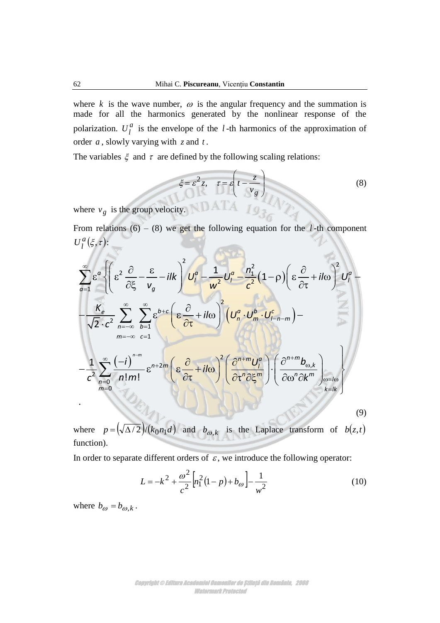where  $k$  is the wave number,  $\omega$  is the angular frequency and the summation is made for all the harmonics generated by the nonlinear response of the polarization.  $U_l^a$  $U_l^u$  is the envelope of the *l*-th harmonics of the approximation of order *a* , slowly varying with *z* and *t* .

The variables  $\xi$  and  $\tau$  are defined by the following scaling relations:

$$
\xi = \varepsilon^2 z, \quad \tau = \varepsilon \left( t - \frac{z}{v_g} \right)
$$
 (8)

where  $v_g$  is the group velocity.

From relations  $(6) - (8)$  we get the following equation for the *l*-th component  $_{l}^{a}(\xi,\tau)$  $U_l^a(\xi,\tau)$ :

$$
\sum_{q=1}^{\infty} \varepsilon^{q} \left\{ \left( \varepsilon^{2} \frac{\partial}{\partial \xi} - \frac{\varepsilon}{v_{g}} - i \right) \frac{U_{l}^{q}}{U_{l}^{q}} - \frac{1}{w^{2}} U_{l}^{q} - \frac{n_{1}^{2}}{c^{2}} (1-p) \left( \varepsilon \frac{\partial}{\partial \tau} + i \right) \frac{U_{l}^{q}}{U_{l}^{q}} - \frac{K_{e}}{\sqrt{2} \cdot c^{2}} \sum_{n=-\infty}^{\infty} \sum_{b=1}^{\infty} \varepsilon^{b+c} \left( \varepsilon \frac{\partial}{\partial \tau} + i \right) \frac{U_{l}^{q}}{U_{l}^{q}} \right\}^{2} \left( U_{n}^{q} \cdot U_{n}^{b} \cdot U_{l-n-m}^{c} \right) - \frac{1}{c^{2}} \sum_{n=-\infty}^{\infty} \frac{(-i)^{n-m}}{n! m!} \varepsilon^{n+2m} \left( \varepsilon \frac{\partial}{\partial \tau} + i \right) \frac{U_{l}^{q}}{\partial \tau^{n}} \left( \frac{\partial^{n+m} U_{l}^{q}}{\partial \tau^{n} \partial \xi^{m}} \right) \cdot \left( \frac{\partial^{n+m} b_{\omega,k}}{\partial \omega^{n} \partial k^{m}} \right) \right\}^{2} \left( \frac{\varepsilon^{n+m} b_{\omega,k}}{\partial \omega^{n} \partial k^{m}} \right) \left( \frac{\partial^{n+m} b_{\omega,k}}{\partial \omega^{n} \partial k^{m}} \right) \left( \frac{\partial}{\partial \omega^{n}} \varepsilon^{n+2m} \right) \left( \frac{\partial}{\partial \omega^{n}} \varepsilon^{n+2m} \right) \left( \frac{\partial}{\partial \omega^{n}} \varepsilon^{n+2m} \right) \left( \frac{\partial}{\partial \omega^{n}} \varepsilon^{n+2m} \right) \left( \frac{\partial}{\partial \omega^{n}} \varepsilon^{n+2m} \right) \left( \frac{\partial}{\partial \omega^{n}} \varepsilon^{n+2m} \right) \left( \frac{\partial}{\partial \omega^{n}} \varepsilon^{n+2m} \right) \left( \frac{\partial}{\partial \omega^{n}} \varepsilon^{n+2m} \right) \left( \frac{\partial}{\partial \omega^{n}}
$$

where  $p = (\sqrt{\Delta/2})/(k_0 n_1 d)$  and  $b_{\omega, k}$  is the Laplace transform of  $b(z,t)$ function).

In order to separate different orders of  $\varepsilon$ , we introduce the following operator:

$$
L = -k^2 + \frac{\omega^2}{c^2} \left[ n_1^2 (1 - p) + b_{\omega} \right] - \frac{1}{w^2}
$$
 (10)

where  $b_{\omega} = b_{\omega,k}$ .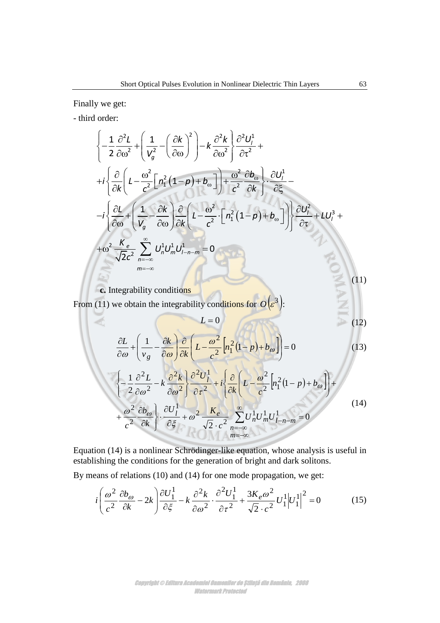Finally we get:

- third order:

d order:  
\n
$$
\left\{ -\frac{1}{2} \frac{\partial^2 L}{\partial \omega^2} + \left( \frac{1}{V_g^2} - \left( \frac{\partial k}{\partial \omega} \right)^2 \right) - k \frac{\partial^2 k}{\partial \omega^2} \right\} \frac{\partial^2 U_l^1}{\partial \tau^2} + \right\}
$$
\n
$$
+ i \left\{ \frac{\partial}{\partial k} \left( L - \frac{\omega^2}{c^2} \left[ n_1^2 (1 - p) + b_{\omega} \right] \right) + \frac{\omega^2}{c^2} \frac{\partial b_{\omega}}{\partial k} \right\} \cdot \frac{\partial U_l^1}{\partial \xi} - \right.
$$
\n
$$
- i \left\{ \frac{\partial L}{\partial \omega} + \left( \frac{1}{V_g} - \frac{\partial k}{\partial \omega} \right) \frac{\partial}{\partial k} \left( L - \frac{\omega^2}{c^2} \cdot \left[ n_1^2 (1 - p) + b_{\omega} \right] \right) \right\} \frac{\partial U_l^2}{\partial \tau} + L U_l^3 + \right.
$$
\n
$$
+ \omega^2 \frac{K_e}{\sqrt{2}c^2} \sum_{n = -\infty}^{\infty} U_n^1 U_m^1 U_{l-n-m}^1 = 0
$$
\n
$$
\sum_{m = -\infty}^{\infty} (11)
$$

**c.** Integrability conditions

(11)

From (11) we obtain the integrability conditions for  $O(\varepsilon^3)$ :

$$
L=0
$$
 (12)

$$
\frac{\partial L}{\partial \omega} + \left(\frac{1}{v_g} - \frac{\partial k}{\partial \omega}\right) \frac{\partial}{\partial k} \left(L - \frac{\omega^2}{c^2} \left[n_1^2 (1 - p) + b_{\omega}\right]\right) = 0
$$
\n
$$
\left\{-\frac{1}{2} \frac{\partial^2 L}{\partial \omega^2} - k \frac{\partial^2 k}{\partial \omega^2}\right\} \frac{\partial^2 U_l^1}{\partial \tau^2} + i \left\{\frac{\partial}{\partial k} \left(L - \frac{\omega^2}{c^2} \left[n_1^2 (1 - p) + b_{\omega}\right]\right) + \frac{\omega^2}{c^2} \frac{\partial b_{\omega}}{\partial k}\right\} \cdot \frac{\partial U_l^1}{\partial \xi} + \omega^2 \frac{K_e}{\sqrt{2} \cdot c^2} \sum_{n = -\infty}^{\infty} U_n^1 U_m^1 U_{l-n-m}^1 = 0
$$
\n(14)

 $=-\infty$  $=-\infty$ 

*m n*

Equation (14) is a nonlinear Schrödinger-like equation, whose analysis is useful in establishing the conditions for the generation of bright and dark solitons.

By means of relations (10) and (14) for one mode propagation, we get:

$$
i\left(\frac{\omega^2}{c^2}\frac{\partial b_{\omega}}{\partial k} - 2k\right)\frac{\partial U_1^1}{\partial \xi} - k\frac{\partial^2 k}{\partial \omega^2} \cdot \frac{\partial^2 U_1^1}{\partial \tau^2} + \frac{3K_e \omega^2}{\sqrt{2} \cdot c^2} U_1^1 \left| U_1^1 \right|^2 = 0 \tag{15}
$$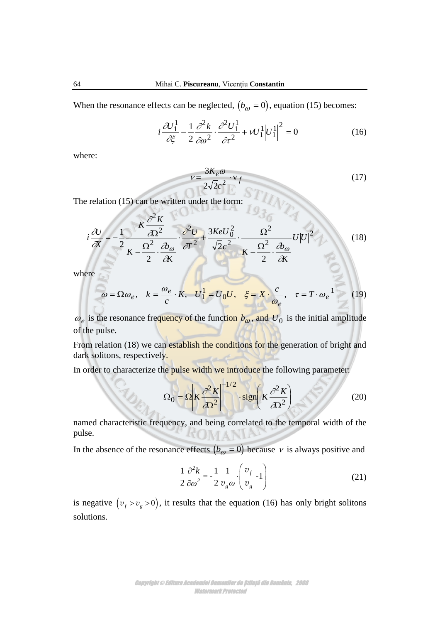When the resonance effects can be neglected,  $(b_{\omega} = 0)$ , equation (15) becomes:

$$
i\frac{\partial U_1^1}{\partial \xi} - \frac{1}{2} \frac{\partial^2 k}{\partial \omega^2} \cdot \frac{\partial^2 U_1^1}{\partial \tau^2} + \nu U_1^1 \Big| U_1^1 \Big|^2 = 0 \tag{16}
$$

where:

$$
v = \frac{3K_e \omega}{2\sqrt{2}c^2} \cdot \mathbf{v}_f
$$
\n(17)

The relation (15) can be written under the form:

$$
i\frac{\partial U}{\partial x} = -\frac{1}{2} \frac{K \frac{\partial^2 K}{\partial \Omega^2}}{K - \frac{\Omega^2}{2} \cdot \frac{\partial \phi}{\partial K}} \cdot \frac{\partial^2 U}{\partial T^2} + \frac{3KeU_0^2}{\sqrt{2}c^2} \cdot \frac{\Omega^2}{K - \frac{\Omega^2}{2} \cdot \frac{\partial \phi}{\partial K}} U|U|^2
$$
(18)

where

$$
\omega = \Omega \omega_e, \quad k = \frac{\omega_e}{c} \cdot K, \quad U^1 = U_0 U, \quad \xi = X \cdot \frac{c}{\omega_e}, \quad \tau = T \cdot \omega_e^{-1} \tag{19}
$$

 $\omega_e$  is the resonance frequency of the function  $b_{\omega}$ , and  $U_0$  is the initial amplitude of the pulse.

From relation (18) we can establish the conditions for the generation of bright and dark solitons, respectively.

In order to characterize the pulse width we introduce the following parameter:

$$
\Omega_0 = \Omega \left| K \frac{\partial^2 K}{\partial \Omega^2} \right|^{-1/2} \cdot \text{sign} \left( K \frac{\partial^2 K}{\partial \Omega^2} \right) \tag{20}
$$

named characteristic frequency, and being correlated to the temporal width of the pulse.

In the absence of the resonance effects  $(b_{\omega} = 0)$  because v is always positive and

$$
\frac{1}{2}\frac{\partial^2 k}{\partial \omega^2} = -\frac{1}{2}\frac{1}{v_g \omega} \cdot \left(\frac{v_f}{v_g} - 1\right)
$$
\n(21)

is negative  $(v_f > v_g > 0)$ , it results that the equation (16) has only bright solitons solutions.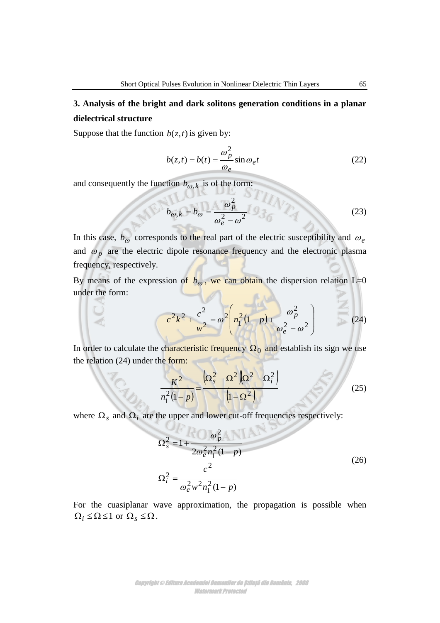# **3. Analysis of the bright and dark solitons generation conditions in a planar dielectrical structure**

Suppose that the function  $b(z,t)$  is given by:

$$
b(z,t) = b(t) = \frac{\omega_p^2}{\omega_e} \sin \omega_e t
$$
 (22)

and consequently the function  $b_{\omega,k}$  is of the form:

$$
b_{\omega,k} = b_{\omega} = \frac{\omega_p^2}{\omega_e^2 - \omega^2} \quad \text{(23)}
$$

In this case,  $b_{\omega}$  corresponds to the real part of the electric susceptibility and  $\omega_e$ and  $\omega_p$  are the electric dipole resonance frequency and the electronic plasma frequency, respectively.

By means of the expression of  $b_{\omega}$ , we can obtain the dispersion relation L=0 under the form:

$$
c^{2}k^{2} + \frac{c^{2}}{w^{2}} = \omega^{2} \left( n_{1}^{2}(1-p) + \frac{\omega_{p}^{2}}{\omega_{e}^{2} - \omega^{2}} \right)
$$
 (24)

In order to calculate the characteristic frequency  $\Omega_0$  and establish its sign we use the relation (24) under the form:

$$
\frac{K^2}{n_1^2(1-p)} = \frac{\left(\Omega_s^2 - \Omega^2\right)\left(\Omega^2 - \Omega_i^2\right)}{\left(1 - \Omega^2\right)}
$$
(25)

where  $\Omega_s$  and  $\Omega_i$  are the upper and lower cut-off frequencies respectively:

$$
\Omega_s^2 = 1 + \frac{\omega_p^2}{2\omega_e^2 n_1^2 (1 - p)}
$$
  

$$
\Omega_i^2 = \frac{c^2}{\omega_e^2 w^2 n_1^2 (1 - p)}
$$
 (26)

For the cuasiplanar wave approximation, the propagation is possible when  $\Omega_i \le \Omega \le 1$  or  $\Omega_s \le \Omega$ .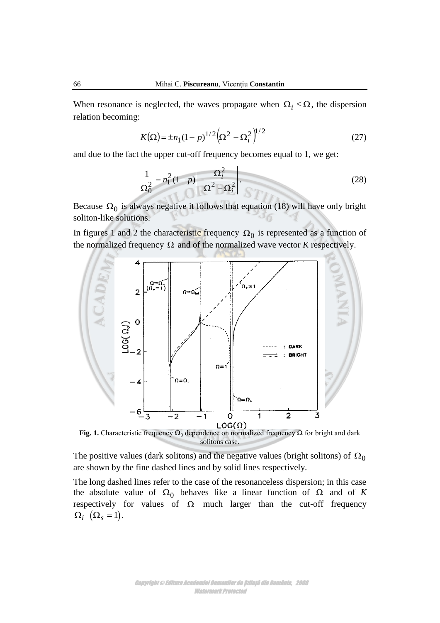When resonance is neglected, the waves propagate when  $\Omega_i \leq \Omega$ , the dispersion relation becoming:

$$
K(\Omega) = \pm n_1 (1 - p)^{1/2} \left(\Omega^2 - \Omega_i^2\right)^{1/2} \tag{27}
$$

and due to the fact the upper cut-off frequency becomes equal to 1, we get:

$$
\frac{1}{\Omega_0^2} = n_1^2 (1 - p) - \frac{\Omega_i^2}{\Omega^2 - \Omega_i^2}.
$$
\n(28)

Because  $\Omega_0$  is always negative it follows that equation (18) will have only bright soliton-like solutions.

In figures 1 and 2 the characteristic frequency  $\Omega_0$  is represented as a function of the normalized frequency  $\Omega$  and of the normalized wave vector *K* respectively.



**Fig. 1.** Characteristic frequency  $\Omega_0$  dependence on normalized frequency  $\Omega$  for bright and dark solitons case.

The positive values (dark solitons) and the negative values (bright solitons) of  $\Omega_0$ are shown by the fine dashed lines and by solid lines respectively.

The long dashed lines refer to the case of the resonanceless dispersion; in this case the absolute value of  $\Omega_0$  behaves like a linear function of  $\Omega$  and of K respectively for values of  $\Omega$  much larger than the cut-off frequency  $\Omega_i$   $(\Omega_s = 1)$ .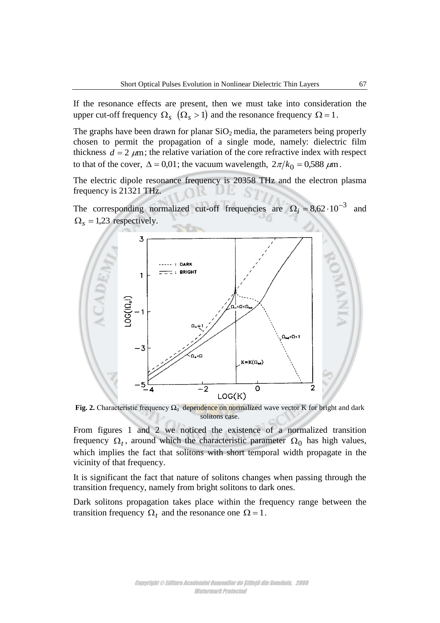If the resonance effects are present, then we must take into consideration the upper cut-off frequency  $\Omega_s$   $(\Omega_s > 1)$  and the resonance frequency  $\Omega = 1$ .

The graphs have been drawn for planar  $SiO<sub>2</sub>$  media, the parameters being properly chosen to permit the propagation of a single mode, namely: dielectric film thickness  $d = 2 \mu m$ ; the relative variation of the core refractive index with respect to that of the cover,  $\Delta = 0.01$ ; the vacuum wavelength,  $2\pi/k_0 = 0.588 \,\mu\text{m}$ .

The electric dipole resonance frequency is 20358 THz and the electron plasma frequency is 21321 THz.

The corresponding normalized cut-off frequencies are  $\Omega_i = 8.62 \cdot 10^{-3}$  and  $\Omega_s = 1,23$  respectively.



**Fig. 2.** Characteristic frequency  $\Omega_0$  dependence on normalized wave vector K for bright and dark solitons case.

From figures 1 and 2 we noticed the existence of a normalized transition frequency  $\Omega_t$ , around which the characteristic parameter  $\Omega_0$  has high values, which implies the fact that solitons with short temporal width propagate in the vicinity of that frequency.

It is significant the fact that nature of solitons changes when passing through the transition frequency, namely from bright solitons to dark ones.

Dark solitons propagation takes place within the frequency range between the transition frequency  $\Omega_t$  and the resonance one  $\Omega = 1$ .